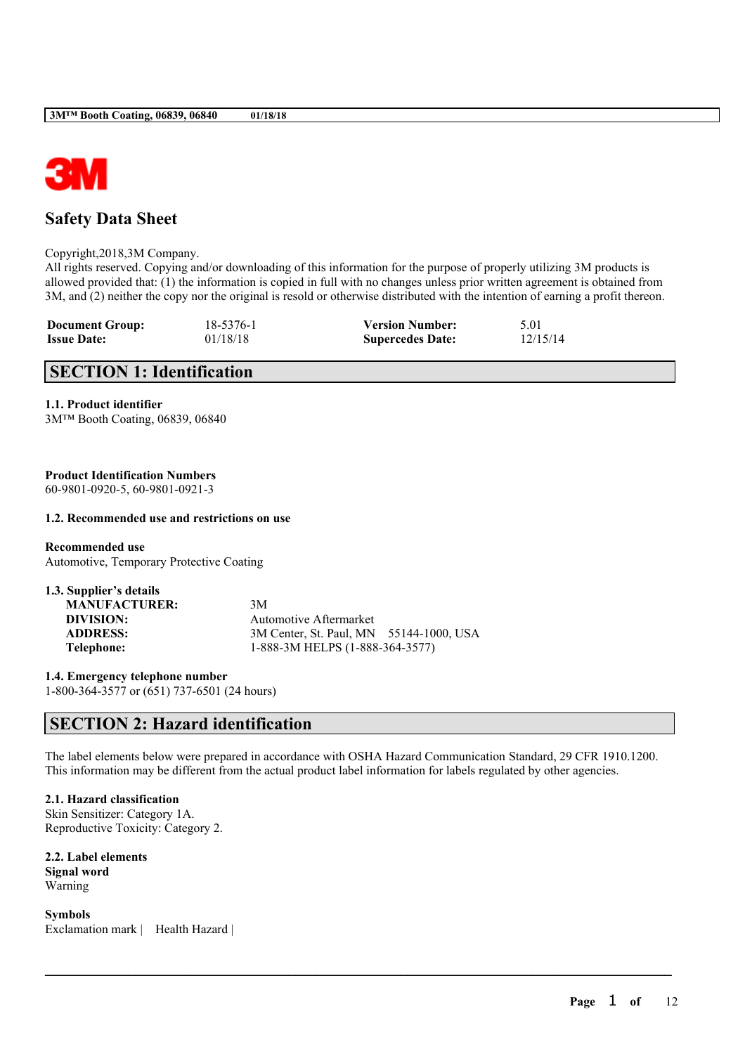

## **Safety Data Sheet**

#### Copyright,2018,3M Company.

All rights reserved. Copying and/or downloading of this information for the purpose of properly utilizing 3M products is allowed provided that: (1) the information is copied in full with no changes unless prior written agreement is obtained from 3M, and (2) neither the copy nor the original is resold or otherwise distributed with the intention of earning a profit thereon.

| <b>Document Group:</b> | 18-5376-1 | <b>Version Number:</b>  | 5.01     |
|------------------------|-----------|-------------------------|----------|
| <b>Issue Date:</b>     | 01/18/18  | <b>Supercedes Date:</b> | 12/15/14 |

## **SECTION 1: Identification**

#### **1.1. Product identifier**

3M™ Booth Coating, 06839, 06840

## **Product Identification Numbers**

60-9801-0920-5, 60-9801-0921-3

### **1.2. Recommended use and restrictions on use**

**Recommended use** Automotive, Temporary Protective Coating

| 3M                                      |
|-----------------------------------------|
| <b>Automotive Aftermarket</b>           |
| 3M Center, St. Paul, MN 55144-1000, USA |
| 1-888-3M HELPS (1-888-364-3577)         |
|                                         |

**1.4. Emergency telephone number** 1-800-364-3577 or (651) 737-6501 (24 hours)

## **SECTION 2: Hazard identification**

The label elements below were prepared in accordance with OSHA Hazard Communication Standard, 29 CFR 1910.1200. This information may be different from the actual product label information for labels regulated by other agencies.

 $\mathcal{L}_\mathcal{L} = \mathcal{L}_\mathcal{L} = \mathcal{L}_\mathcal{L} = \mathcal{L}_\mathcal{L} = \mathcal{L}_\mathcal{L} = \mathcal{L}_\mathcal{L} = \mathcal{L}_\mathcal{L} = \mathcal{L}_\mathcal{L} = \mathcal{L}_\mathcal{L} = \mathcal{L}_\mathcal{L} = \mathcal{L}_\mathcal{L} = \mathcal{L}_\mathcal{L} = \mathcal{L}_\mathcal{L} = \mathcal{L}_\mathcal{L} = \mathcal{L}_\mathcal{L} = \mathcal{L}_\mathcal{L} = \mathcal{L}_\mathcal{L}$ 

### **2.1. Hazard classification**

Skin Sensitizer: Category 1A. Reproductive Toxicity: Category 2.

## **2.2. Label elements Signal word**

Warning

**Symbols** Exclamation mark | Health Hazard |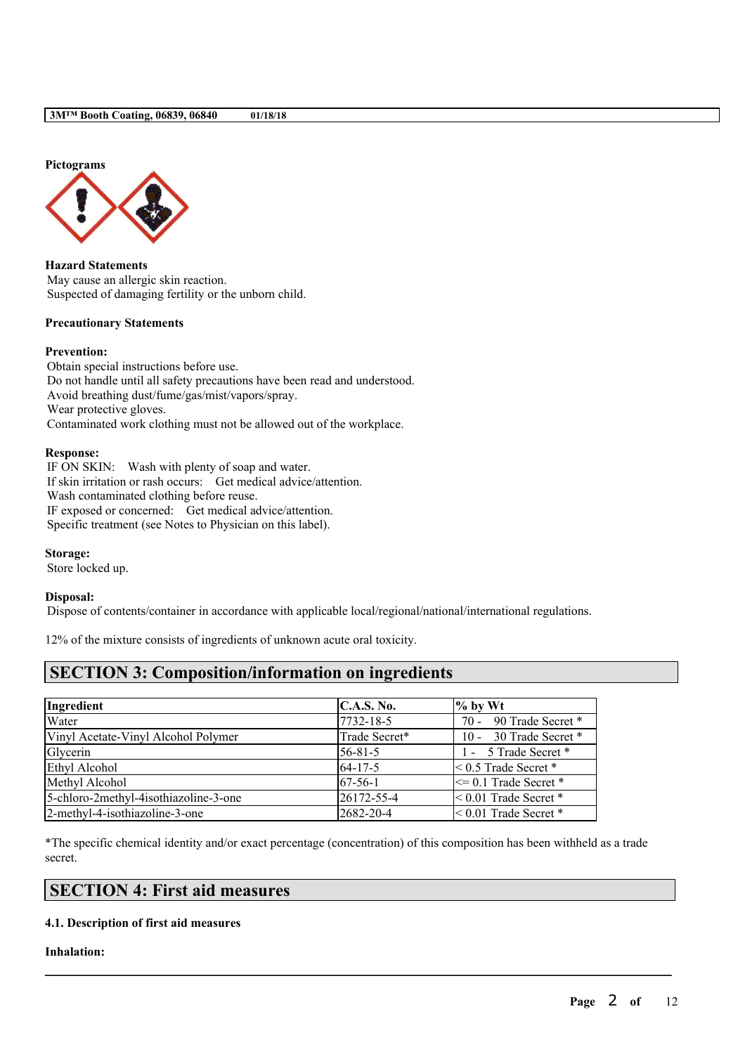

**Hazard Statements** May cause an allergic skin reaction. Suspected of damaging fertility or the unborn child.

## **Precautionary Statements**

### **Prevention:**

Obtain special instructions before use. Do not handle until all safety precautions have been read and understood. Avoid breathing dust/fume/gas/mist/vapors/spray. Wear protective gloves. Contaminated work clothing must not be allowed out of the workplace.

#### **Response:**

IF ON SKIN: Wash with plenty of soap and water. If skin irritation or rash occurs: Get medical advice/attention. Wash contaminated clothing before reuse. IF exposed or concerned: Get medical advice/attention. Specific treatment (see Notes to Physician on this label).

#### **Storage:**

Store locked up.

#### **Disposal:**

Dispose of contents/container in accordance with applicable local/regional/national/international regulations.

12% of the mixture consists of ingredients of unknown acute oral toxicity.

## **SECTION 3: Composition/information on ingredients**

| Ingredient                            | C.A.S. No.    | $%$ by Wt                  |
|---------------------------------------|---------------|----------------------------|
| Water                                 | 7732-18-5     | 70 - 90 Trade Secret *     |
| Vinyl Acetate-Vinyl Alcohol Polymer   | Trade Secret* | 10 - 30 Trade Secret *     |
| Glycerin                              | $56 - 81 - 5$ | 1 - 5 Trade Secret *       |
| Ethyl Alcohol                         | $64 - 17 - 5$ | $\leq 0.5$ Trade Secret *  |
| Methyl Alcohol                        | $67-56-1$     | $\leq$ 0.1 Trade Secret *  |
| 5-chloro-2methyl-4isothiazoline-3-one | 26172-55-4    | $< 0.01$ Trade Secret $*$  |
| 2-methyl-4-isothiazoline-3-one        | 2682-20-4     | $\leq 0.01$ Trade Secret * |

\*The specific chemical identity and/or exact percentage (concentration) of this composition has been withheld as a trade secret.

 $\mathcal{L}_\mathcal{L} = \mathcal{L}_\mathcal{L} = \mathcal{L}_\mathcal{L} = \mathcal{L}_\mathcal{L} = \mathcal{L}_\mathcal{L} = \mathcal{L}_\mathcal{L} = \mathcal{L}_\mathcal{L} = \mathcal{L}_\mathcal{L} = \mathcal{L}_\mathcal{L} = \mathcal{L}_\mathcal{L} = \mathcal{L}_\mathcal{L} = \mathcal{L}_\mathcal{L} = \mathcal{L}_\mathcal{L} = \mathcal{L}_\mathcal{L} = \mathcal{L}_\mathcal{L} = \mathcal{L}_\mathcal{L} = \mathcal{L}_\mathcal{L}$ 

## **SECTION 4: First aid measures**

### **4.1. Description of first aid measures**

#### **Inhalation:**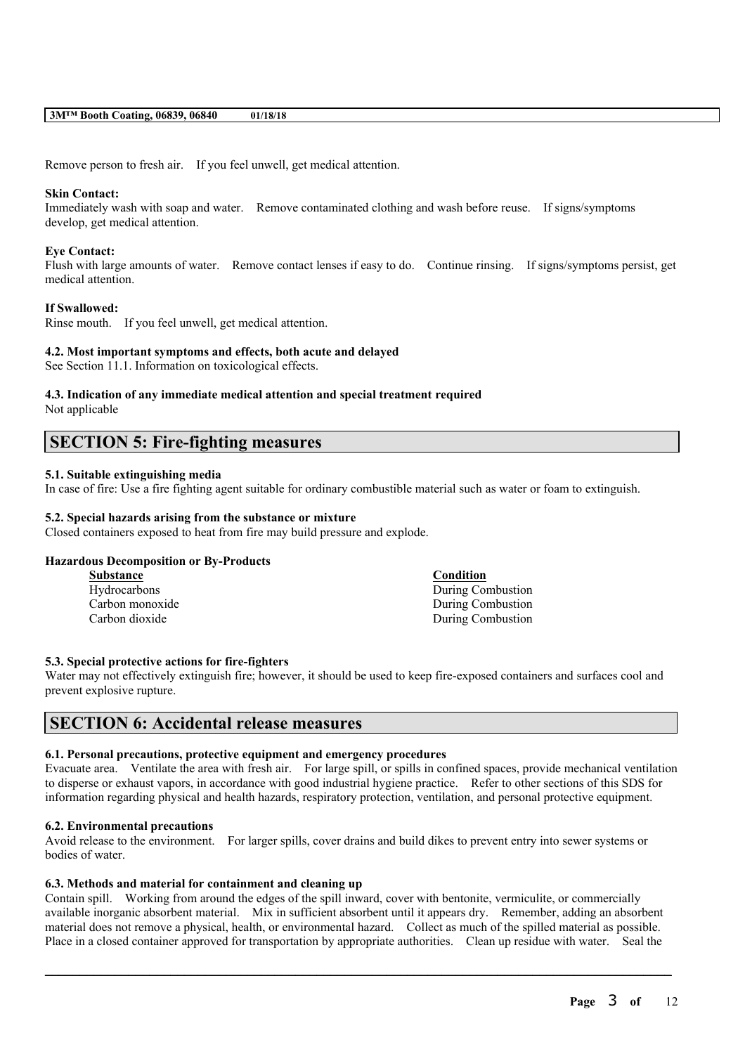Remove person to fresh air. If you feel unwell, get medical attention.

#### **Skin Contact:**

Immediately wash with soap and water. Remove contaminated clothing and wash before reuse. If signs/symptoms develop, get medical attention.

#### **Eye Contact:**

Flush with large amounts of water. Remove contact lenses if easy to do. Continue rinsing. If signs/symptoms persist, get medical attention.

### **If Swallowed:**

Rinse mouth. If you feel unwell, get medical attention.

#### **4.2. Most important symptoms and effects, both acute and delayed**

See Section 11.1. Information on toxicological effects.

## **4.3. Indication of any immediate medical attention and special treatment required**

Not applicable

## **SECTION 5: Fire-fighting measures**

## **5.1. Suitable extinguishing media**

In case of fire: Use a fire fighting agent suitable for ordinary combustible material such as water or foam to extinguish.

## **5.2. Special hazards arising from the substance or mixture**

Closed containers exposed to heat from fire may build pressure and explode.

#### **Hazardous Decomposition or By-Products**

| <b>Substance</b> | <b>Condition</b>  |
|------------------|-------------------|
| Hydrocarbons     | During Combustion |
| Carbon monoxide  | During Combustion |
| Carbon dioxide   | During Combustion |

#### **5.3. Special protective actions for fire-fighters**

Water may not effectively extinguish fire; however, it should be used to keep fire-exposed containers and surfaces cool and prevent explosive rupture.

## **SECTION 6: Accidental release measures**

#### **6.1. Personal precautions, protective equipment and emergency procedures**

Evacuate area. Ventilate the area with fresh air. For large spill, or spills in confined spaces, provide mechanical ventilation to disperse or exhaust vapors, in accordance with good industrial hygiene practice. Refer to other sections of this SDS for information regarding physical and health hazards, respiratory protection, ventilation, and personal protective equipment.

#### **6.2. Environmental precautions**

Avoid release to the environment. For larger spills, cover drains and build dikes to prevent entry into sewer systems or bodies of water.

#### **6.3. Methods and material for containment and cleaning up**

Contain spill. Working from around the edges of the spill inward, cover with bentonite, vermiculite, or commercially available inorganic absorbent material. Mix in sufficient absorbent until it appears dry. Remember, adding an absorbent material does not remove a physical, health, or environmental hazard. Collect as much of the spilled material as possible. Place in a closed container approved for transportation by appropriate authorities. Clean up residue with water. Seal the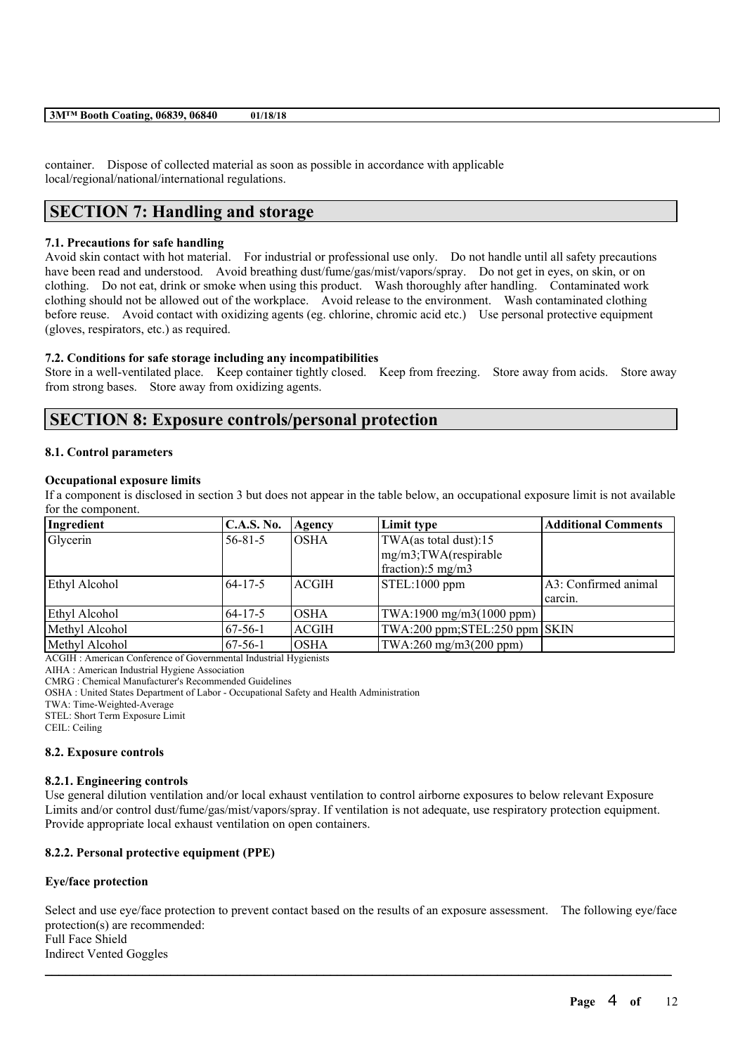container. Dispose of collected material as soon as possible in accordance with applicable local/regional/national/international regulations.

## **SECTION 7: Handling and storage**

## **7.1. Precautions for safe handling**

Avoid skin contact with hot material. For industrial or professional use only. Do not handle until all safety precautions have been read and understood. Avoid breathing dust/fume/gas/mist/vapors/spray. Do not get in eyes, on skin, or on clothing. Do not eat, drink or smoke when using this product. Wash thoroughly after handling. Contaminated work clothing should not be allowed out of the workplace. Avoid release to the environment. Wash contaminated clothing before reuse. Avoid contact with oxidizing agents (eg. chlorine, chromic acid etc.) Use personal protective equipment (gloves, respirators, etc.) as required.

### **7.2. Conditions for safe storage including any incompatibilities**

Store in a well-ventilated place. Keep container tightly closed. Keep from freezing. Store away from acids. Store away from strong bases. Store away from oxidizing agents.

## **SECTION 8: Exposure controls/personal protection**

#### **8.1. Control parameters**

#### **Occupational exposure limits**

If a component is disclosed in section 3 but does not appear in the table below, an occupational exposure limit is not available for the component.

| Ingredient     | <b>C.A.S. No.</b> | Agency       | Limit type                                 | <b>Additional Comments</b> |
|----------------|-------------------|--------------|--------------------------------------------|----------------------------|
| Glycerin       | $56 - 81 - 5$     | IOSHA        | TWA(as total dust):15                      |                            |
|                |                   |              | mg/m3;TWA(respirable                       |                            |
|                |                   |              | $frac{1}{2}$ fraction): 5 mg/m3            |                            |
| Ethyl Alcohol  | $64 - 17 - 5$     | ACGIH        | STEL:1000 ppm                              | A3: Confirmed animal       |
|                |                   |              |                                            | carcin.                    |
| Ethyl Alcohol  | $64 - 17 - 5$     | <b>OSHA</b>  | $TWA:1900$ mg/m $3(1000$ ppm)              |                            |
| Methyl Alcohol | $67-56-1$         | <b>ACGIH</b> | $TWA:200$ ppm; $STEL:250$ ppm $\vert$ SKIN |                            |
| Methyl Alcohol | $67-56-1$         | IOSHA        | TWA:260 mg/m3(200 ppm)                     |                            |

ACGIH : American Conference of Governmental Industrial Hygienists

AIHA : American Industrial Hygiene Association

CMRG : Chemical Manufacturer's Recommended Guidelines

OSHA : United States Department of Labor - Occupational Safety and Health Administration

TWA: Time-Weighted-Average

STEL: Short Term Exposure Limit

CEIL: Ceiling

### **8.2. Exposure controls**

### **8.2.1. Engineering controls**

Use general dilution ventilation and/or local exhaust ventilation to control airborne exposures to below relevant Exposure Limits and/or control dust/fume/gas/mist/vapors/spray. If ventilation is not adequate, use respiratory protection equipment. Provide appropriate local exhaust ventilation on open containers.

### **8.2.2. Personal protective equipment (PPE)**

## **Eye/face protection**

Select and use eye/face protection to prevent contact based on the results of an exposure assessment. The following eye/face protection(s) are recommended: Full Face Shield Indirect Vented Goggles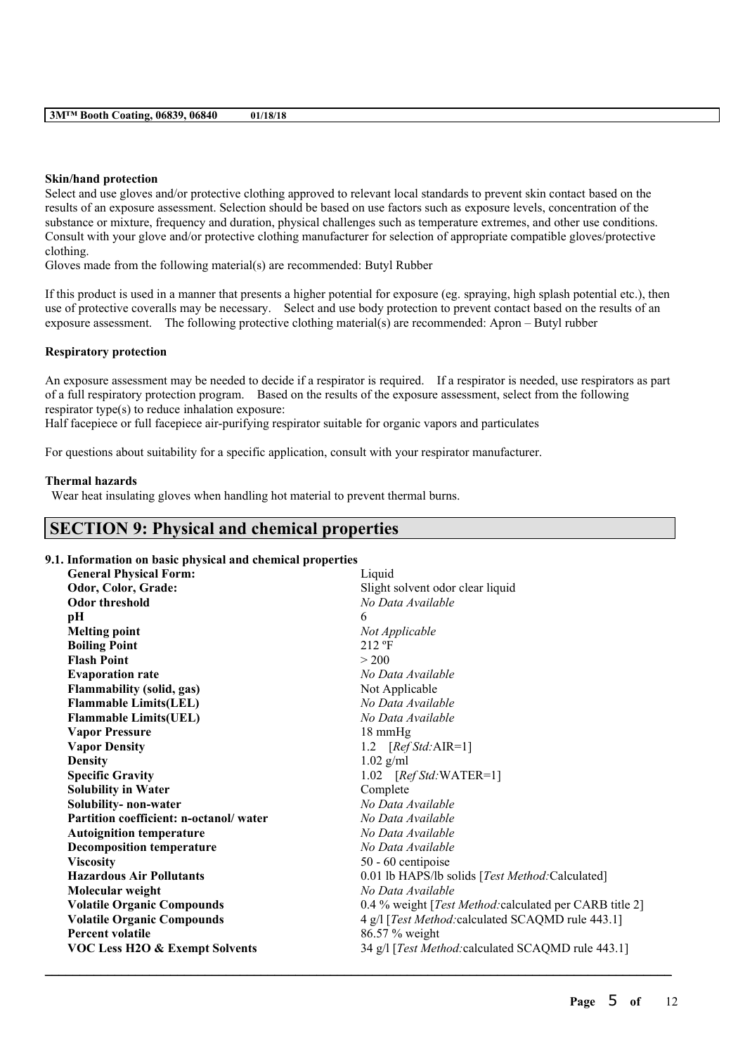#### **Skin/hand protection**

Select and use gloves and/or protective clothing approved to relevant local standards to prevent skin contact based on the results of an exposure assessment. Selection should be based on use factors such as exposure levels, concentration of the substance or mixture, frequency and duration, physical challenges such as temperature extremes, and other use conditions. Consult with your glove and/or protective clothing manufacturer for selection of appropriate compatible gloves/protective clothing.

Gloves made from the following material(s) are recommended: Butyl Rubber

If this product is used in a manner that presents a higher potential for exposure (eg. spraying, high splash potential etc.), then use of protective coveralls may be necessary. Select and use body protection to prevent contact based on the results of an exposure assessment. The following protective clothing material(s) are recommended: Apron – Butyl rubber

### **Respiratory protection**

An exposure assessment may be needed to decide if a respirator is required. If a respirator is needed, use respirators as part of a full respiratory protection program. Based on the results of the exposure assessment, select from the following respirator type(s) to reduce inhalation exposure:

Half facepiece or full facepiece air-purifying respirator suitable for organic vapors and particulates

For questions about suitability for a specific application, consult with your respirator manufacturer.

#### **Thermal hazards**

Wear heat insulating gloves when handling hot material to prevent thermal burns.

## **SECTION 9: Physical and chemical properties**

### **9.1. Information on basic physical and chemical properties**

| <b>General Physical Form:</b>             | Liquid                                                          |
|-------------------------------------------|-----------------------------------------------------------------|
| Odor, Color, Grade:                       | Slight solvent odor clear liquid                                |
| <b>Odor threshold</b>                     | No Data Available                                               |
| pН                                        | 6                                                               |
| <b>Melting point</b>                      | Not Applicable                                                  |
| <b>Boiling Point</b>                      | $212$ °F                                                        |
| <b>Flash Point</b>                        | > 200                                                           |
| <b>Evaporation rate</b>                   | No Data Available                                               |
| Flammability (solid, gas)                 | Not Applicable                                                  |
| <b>Flammable Limits(LEL)</b>              | No Data Available                                               |
| <b>Flammable Limits(UEL)</b>              | No Data Available                                               |
| <b>Vapor Pressure</b>                     | 18 mmHg                                                         |
| <b>Vapor Density</b>                      | 1.2 $[RefStd:AIR=1]$                                            |
| <b>Density</b>                            | $1.02$ g/ml                                                     |
| <b>Specific Gravity</b>                   | $1.02$ [ <i>Ref Std:</i> WATER=1]                               |
| <b>Solubility in Water</b>                | Complete                                                        |
| Solubility- non-water                     | No Data Available                                               |
| Partition coefficient: n-octanol/water    | No Data Available                                               |
| <b>Autoignition temperature</b>           | No Data Available                                               |
| <b>Decomposition temperature</b>          | No Data Available                                               |
| <b>Viscosity</b>                          | 50 - 60 centipoise                                              |
| <b>Hazardous Air Pollutants</b>           | 0.01 lb HAPS/lb solids [Test Method:Calculated]                 |
| Molecular weight                          | No Data Available                                               |
| <b>Volatile Organic Compounds</b>         | 0.4 % weight [ <i>Test Method:calculated per CARB title 2</i> ] |
| <b>Volatile Organic Compounds</b>         | 4 g/l [Test Method: calculated SCAQMD rule 443.1]               |
| <b>Percent volatile</b>                   | 86.57 % weight                                                  |
| <b>VOC Less H2O &amp; Exempt Solvents</b> | 34 g/l [Test Method: calculated SCAQMD rule 443.1]              |
|                                           |                                                                 |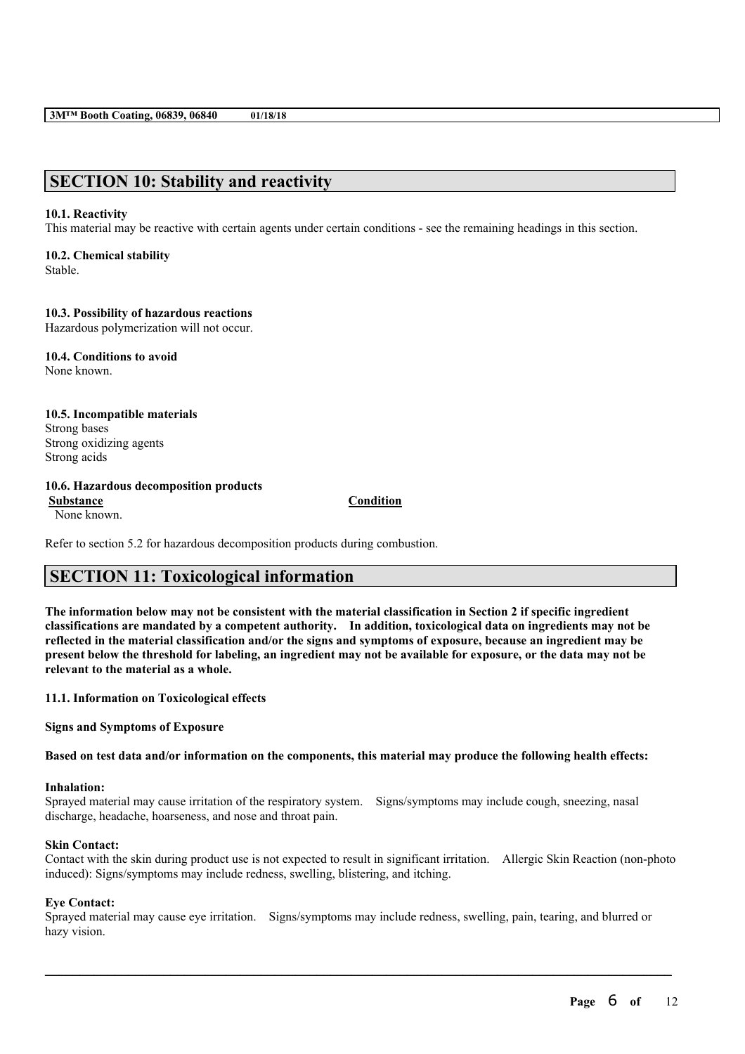## **SECTION 10: Stability and reactivity**

#### **10.1. Reactivity**

This material may be reactive with certain agents under certain conditions - see the remaining headings in this section.

## **10.2. Chemical stability**

Stable.

### **10.3. Possibility of hazardous reactions**

Hazardous polymerization will not occur.

**10.4. Conditions to avoid** None known.

#### **10.5. Incompatible materials** Strong bases Strong oxidizing agents Strong acids

## **10.6. Hazardous decomposition products**

**Substance Condition** None known.

Refer to section 5.2 for hazardous decomposition products during combustion.

## **SECTION 11: Toxicological information**

The information below may not be consistent with the material classification in Section 2 if specific ingredient **classifications are mandated by a competent authority. In addition, toxicological data on ingredients may not be** reflected in the material classification and/or the signs and symptoms of exposure, because an ingredient may be present below the threshold for labeling, an ingredient may not be available for exposure, or the data may not be **relevant to the material as a whole.**

**11.1. Information on Toxicological effects**

**Signs and Symptoms of Exposure**

Based on test data and/or information on the components, this material may produce the following health effects:

#### **Inhalation:**

Sprayed material may cause irritation of the respiratory system. Signs/symptoms may include cough, sneezing, nasal discharge, headache, hoarseness, and nose and throat pain.

#### **Skin Contact:**

Contact with the skin during product use is not expected to result in significant irritation. Allergic Skin Reaction (non-photo induced): Signs/symptoms may include redness, swelling, blistering, and itching.

#### **Eye Contact:**

Sprayed material may cause eye irritation. Signs/symptoms may include redness, swelling, pain, tearing, and blurred or hazy vision.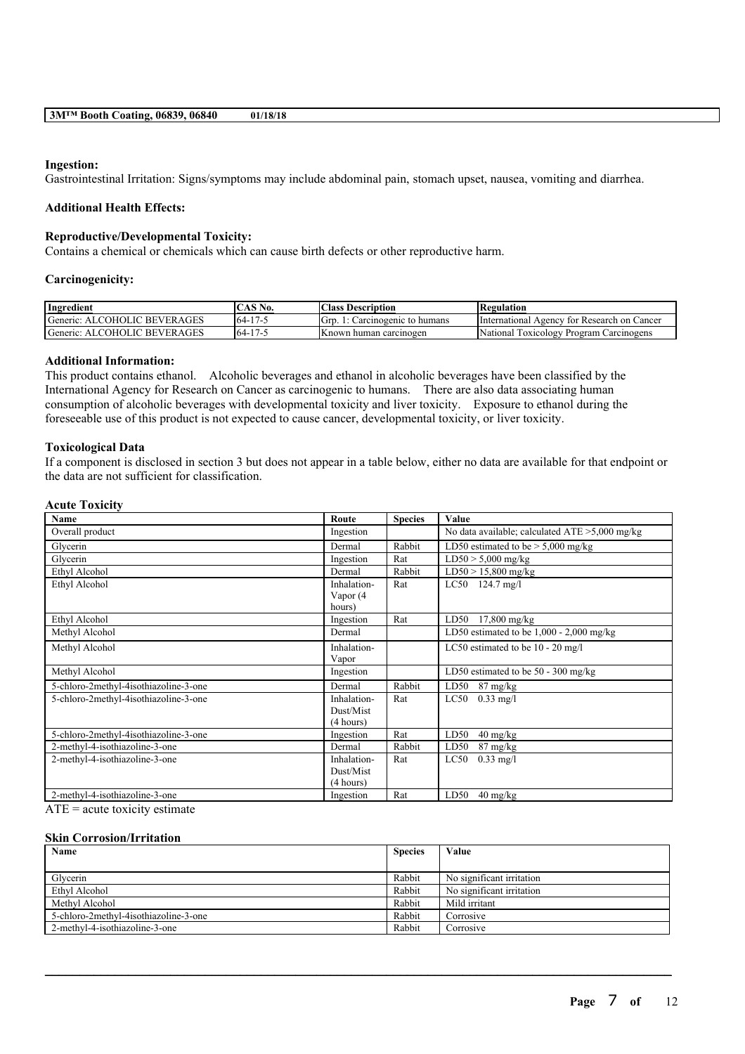#### **Ingestion:**

Gastrointestinal Irritation: Signs/symptoms may include abdominal pain, stomach upset, nausea, vomiting and diarrhea.

#### **Additional Health Effects:**

#### **Reproductive/Developmental Toxicity:**

Contains a chemical or chemicals which can cause birth defects or other reproductive harm.

#### **Carcinogenicity:**

| Ingredient                                   | $\mathcal{L}\mathbf{AS}\:\mathbf{No.}$ | <b>Class Description</b>       | Regulation                                        |
|----------------------------------------------|----------------------------------------|--------------------------------|---------------------------------------------------|
| ALCOHOLIC BEVERAGES<br>Generic:              | 17<br>$64-$                            | lGrd<br>Carcinogenic to humans | International Agency for Research on Cancer       |
| Generic:<br>' BEVER AGES<br><b>ALCOHOLIC</b> | 17<br>$-64-$                           | IKnown human carcinogen        | 'National<br>Carcinogens<br>Program<br>TOXICOLOGY |

#### **Additional Information:**

This product contains ethanol. Alcoholic beverages and ethanol in alcoholic beverages have been classified by the International Agency for Research on Cancer as carcinogenic to humans. There are also data associating human consumption of alcoholic beverages with developmental toxicity and liver toxicity. Exposure to ethanol during the foreseeable use of this product is not expected to cause cancer, developmental toxicity, or liver toxicity.

#### **Toxicological Data**

If a component is disclosed in section 3 but does not appear in a table below, either no data are available for that endpoint or the data are not sufficient for classification.

| <b>Acute Toxicity</b> |  |
|-----------------------|--|
|-----------------------|--|

| Name                                  | Route       | <b>Species</b> | Value                                             |
|---------------------------------------|-------------|----------------|---------------------------------------------------|
| Overall product                       | Ingestion   |                | No data available; calculated $ATE > 5,000$ mg/kg |
| Glycerin                              | Dermal      | Rabbit         | LD50 estimated to be $>$ 5,000 mg/kg              |
| Glycerin                              | Ingestion   | Rat            | $LD50 > 5,000$ mg/kg                              |
| Ethyl Alcohol                         | Dermal      | Rabbit         | $LD50 > 15,800$ mg/kg                             |
| Ethyl Alcohol                         | Inhalation- | Rat            | $LC50$ 124.7 mg/l                                 |
|                                       | Vapor (4    |                |                                                   |
|                                       | hours)      |                |                                                   |
| Ethyl Alcohol                         | Ingestion   | Rat            | $17,800$ mg/kg<br>LD50                            |
| Methyl Alcohol                        | Dermal      |                | LD50 estimated to be $1,000 - 2,000$ mg/kg        |
| Methyl Alcohol                        | Inhalation- |                | LC50 estimated to be $10 - 20$ mg/l               |
|                                       | Vapor       |                |                                                   |
| Methyl Alcohol                        | Ingestion   |                | LD50 estimated to be $50 - 300$ mg/kg             |
| 5-chloro-2methyl-4isothiazoline-3-one | Dermal      | Rabbit         | LD50<br>87 mg/kg                                  |
| 5-chloro-2methyl-4isothiazoline-3-one | Inhalation- | Rat            | LC50<br>$0.33 \text{ mg/l}$                       |
|                                       | Dust/Mist   |                |                                                   |
|                                       | (4 hours)   |                |                                                   |
| 5-chloro-2methyl-4isothiazoline-3-one | Ingestion   | Rat            | 40 mg/kg<br>LD50                                  |
| 2-methyl-4-isothiazoline-3-one        | Dermal      | Rabbit         | LD50<br>$87 \frac{\text{mg}}{\text{kg}}$          |
| 2-methyl-4-isothiazoline-3-one        | Inhalation- | Rat            | $0.33 \text{ mg/l}$<br>LC50                       |
|                                       | Dust/Mist   |                |                                                   |
|                                       | (4 hours)   |                |                                                   |
| 2-methyl-4-isothiazoline-3-one        | Ingestion   | Rat            | LD50<br>$40 \frac{\text{mg}}{\text{kg}}$          |

 $ATE = acute$  toxicity estimate

#### **Skin Corrosion/Irritation**

| Name                                  | <b>Species</b> | Value                     |
|---------------------------------------|----------------|---------------------------|
|                                       |                |                           |
| Glycerin                              | Rabbit         | No significant irritation |
| Ethyl Alcohol                         | Rabbit         | No significant irritation |
| Methyl Alcohol                        | Rabbit         | Mild irritant             |
| 5-chloro-2methyl-4isothiazoline-3-one | Rabbit         | Corrosive                 |
| 2-methyl-4-isothiazoline-3-one        | Rabbit         | Corrosive                 |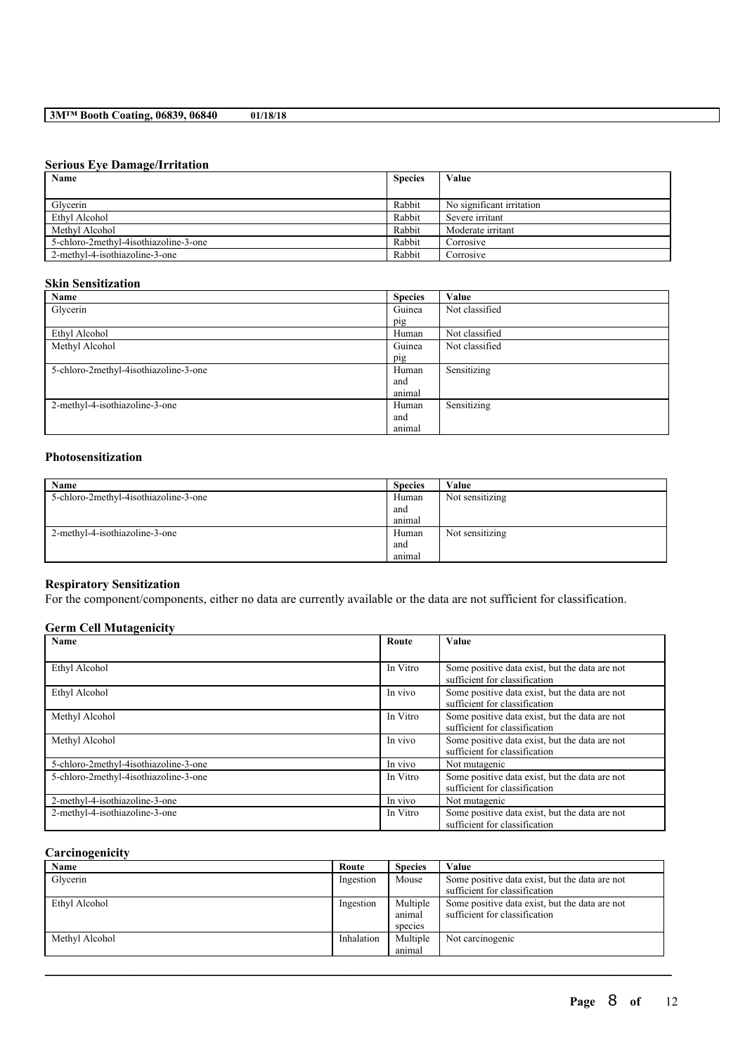#### **Serious Eye Damage/Irritation**

| Name                                  | <b>Species</b> | Value                     |
|---------------------------------------|----------------|---------------------------|
|                                       |                |                           |
| Glycerin                              | Rabbit         | No significant irritation |
| Ethyl Alcohol                         | Rabbit         | Severe irritant           |
| Methyl Alcohol                        | Rabbit         | Moderate irritant         |
| 5-chloro-2methyl-4isothiazoline-3-one | Rabbit         | Corrosive                 |
| 2-methyl-4-isothiazoline-3-one        | Rabbit         | Corrosive                 |

## **Skin Sensitization**

| Name                                  | <b>Species</b> | Value          |
|---------------------------------------|----------------|----------------|
| Glycerin                              | Guinea         | Not classified |
|                                       | pig            |                |
| Ethyl Alcohol                         | Human          | Not classified |
| Methyl Alcohol                        | Guinea         | Not classified |
|                                       | pig            |                |
| 5-chloro-2methyl-4isothiazoline-3-one | Human          | Sensitizing    |
|                                       | and            |                |
|                                       | animal         |                |
| 2-methyl-4-isothiazoline-3-one        | Human          | Sensitizing    |
|                                       | and            |                |
|                                       | animal         |                |

## **Photosensitization**

| Name                                  | <b>Species</b> | Value           |
|---------------------------------------|----------------|-----------------|
| 5-chloro-2methyl-4isothiazoline-3-one | Human          | Not sensitizing |
|                                       | and            |                 |
|                                       | animal         |                 |
| 2-methyl-4-isothiazoline-3-one        | Human          | Not sensitizing |
|                                       | and            |                 |
|                                       | anımal         |                 |

## **Respiratory Sensitization**

For the component/components, either no data are currently available or the data are not sufficient for classification.

## **Germ Cell Mutagenicity**

| Name                                  | Route    | Value                                                                           |
|---------------------------------------|----------|---------------------------------------------------------------------------------|
|                                       |          |                                                                                 |
| Ethyl Alcohol                         | In Vitro | Some positive data exist, but the data are not<br>sufficient for classification |
| Ethyl Alcohol                         | In vivo  | Some positive data exist, but the data are not<br>sufficient for classification |
| Methyl Alcohol                        | In Vitro | Some positive data exist, but the data are not<br>sufficient for classification |
| Methyl Alcohol                        | In vivo  | Some positive data exist, but the data are not<br>sufficient for classification |
| 5-chloro-2methyl-4isothiazoline-3-one | In vivo  | Not mutagenic                                                                   |
| 5-chloro-2methyl-4isothiazoline-3-one | In Vitro | Some positive data exist, but the data are not<br>sufficient for classification |
| 2-methyl-4-isothiazoline-3-one        | In vivo  | Not mutagenic                                                                   |
| 2-methyl-4-isothiazoline-3-one        | In Vitro | Some positive data exist, but the data are not<br>sufficient for classification |

### **Carcinogenicity**

| Name           | Route      | <b>Species</b> | Value                                          |
|----------------|------------|----------------|------------------------------------------------|
| Glycerin       | Ingestion  | Mouse          | Some positive data exist, but the data are not |
|                |            |                | sufficient for classification                  |
| Ethyl Alcohol  | Ingestion  | Multiple       | Some positive data exist, but the data are not |
|                |            | animal         | sufficient for classification                  |
|                |            | species        |                                                |
| Methyl Alcohol | Inhalation | Multiple       | Not carcinogenic                               |
|                |            | animal         |                                                |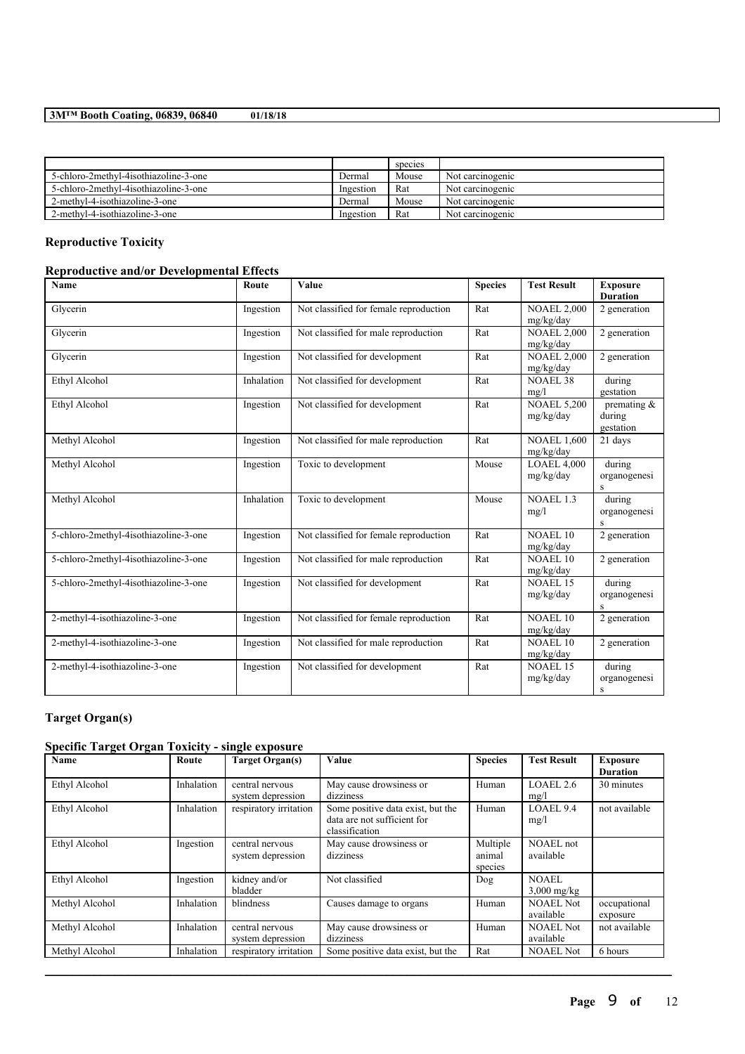|                                       |           | species |                  |
|---------------------------------------|-----------|---------|------------------|
| 5-chloro-2methyl-4isothiazoline-3-one | Dermal    | Mouse   | Not carcinogenic |
| 5-chloro-2methyl-4isothiazoline-3-one | Ingestion | Rat     | Not carcinogenic |
| 2-methyl-4-isothiazoline-3-one        | Dermal    | Mouse   | Not carcinogenic |
| 2-methyl-4-isothiazoline-3-one        | Ingestion | Rat     | Not carcinogenic |

## **Reproductive Toxicity**

## **Reproductive and/or Developmental Effects**

| Name                                  | Route      | Value                                  | <b>Species</b> | <b>Test Result</b>              | <b>Exposure</b><br><b>Duration</b>                        |
|---------------------------------------|------------|----------------------------------------|----------------|---------------------------------|-----------------------------------------------------------|
| Glycerin                              | Ingestion  | Not classified for female reproduction | Rat            | <b>NOAEL 2,000</b><br>mg/kg/day | 2 generation                                              |
| Glycerin                              | Ingestion  | Not classified for male reproduction   | Rat            | <b>NOAEL 2,000</b><br>mg/kg/day | 2 generation                                              |
| Glycerin                              | Ingestion  | Not classified for development         | Rat            | <b>NOAEL 2,000</b><br>mg/kg/day | 2 generation                                              |
| Ethyl Alcohol                         | Inhalation | Not classified for development         | Rat            | <b>NOAEL 38</b><br>mg/l         | during<br>gestation                                       |
| Ethyl Alcohol                         | Ingestion  | Not classified for development         | Rat            | <b>NOAEL 5,200</b><br>mg/kg/day | premating $\overline{\mathcal{X}}$<br>during<br>gestation |
| Methyl Alcohol                        | Ingestion  | Not classified for male reproduction   | Rat            | <b>NOAEL 1,600</b><br>mg/kg/day | 21 days                                                   |
| Methyl Alcohol                        | Ingestion  | Toxic to development                   | Mouse          | $LOAEL$ 4,000<br>mg/kg/day      | during<br>organogenesi<br>$\mathbf{s}$                    |
| Methyl Alcohol                        | Inhalation | Toxic to development                   | Mouse          | <b>NOAEL 1.3</b><br>mg/l        | during<br>organogenesi<br>S                               |
| 5-chloro-2methyl-4isothiazoline-3-one | Ingestion  | Not classified for female reproduction | Rat            | <b>NOAEL 10</b><br>mg/kg/day    | 2 generation                                              |
| 5-chloro-2methyl-4isothiazoline-3-one | Ingestion  | Not classified for male reproduction   | Rat            | <b>NOAEL 10</b><br>mg/kg/day    | 2 generation                                              |
| 5-chloro-2methyl-4isothiazoline-3-one | Ingestion  | Not classified for development         | Rat            | $NOAEL$ 15<br>mg/kg/day         | during<br>organogenesi<br>S                               |
| 2-methyl-4-isothiazoline-3-one        | Ingestion  | Not classified for female reproduction | Rat            | NOAEL 10<br>mg/kg/day           | 2 generation                                              |
| 2-methyl-4-isothiazoline-3-one        | Ingestion  | Not classified for male reproduction   | Rat            | NOAEL 10<br>mg/kg/day           | 2 generation                                              |
| 2-methyl-4-isothiazoline-3-one        | Ingestion  | Not classified for development         | Rat            | <b>NOAEL 15</b><br>mg/kg/day    | during<br>organogenesi<br>$\,$ S                          |

## **Target Organ(s)**

## **Specific Target Organ Toxicity - single exposure**

| <b>Name</b>    | Route      | <b>Target Organ(s)</b>               | <b>Value</b>                                                                       | <b>Species</b>                | <b>Test Result</b>            | <b>Exposure</b><br><b>Duration</b> |
|----------------|------------|--------------------------------------|------------------------------------------------------------------------------------|-------------------------------|-------------------------------|------------------------------------|
| Ethyl Alcohol  | Inhalation | central nervous<br>system depression | May cause drowsiness or<br>dizziness                                               | Human                         | LOAEL $2.6$<br>mg/l           | 30 minutes                         |
| Ethyl Alcohol  | Inhalation | respiratory irritation               | Some positive data exist, but the<br>data are not sufficient for<br>classification | Human                         | LOAEL9.4<br>mg/l              | not available                      |
| Ethyl Alcohol  | Ingestion  | central nervous<br>system depression | May cause drowsiness or<br>dizziness                                               | Multiple<br>animal<br>species | <b>NOAEL</b> not<br>available |                                    |
| Ethyl Alcohol  | Ingestion  | kidney and/or<br>bladder             | Not classified                                                                     | Dog                           | <b>NOAEL</b><br>$3,000$ mg/kg |                                    |
| Methyl Alcohol | Inhalation | blindness                            | Causes damage to organs                                                            | Human                         | NOAEL Not<br>available        | occupational<br>exposure           |
| Methyl Alcohol | Inhalation | central nervous<br>system depression | May cause drowsiness or<br>dizziness                                               | Human                         | <b>NOAEL Not</b><br>available | not available                      |
| Methyl Alcohol | Inhalation | respiratory irritation               | Some positive data exist, but the                                                  | Rat                           | <b>NOAEL Not</b>              | 6 hours                            |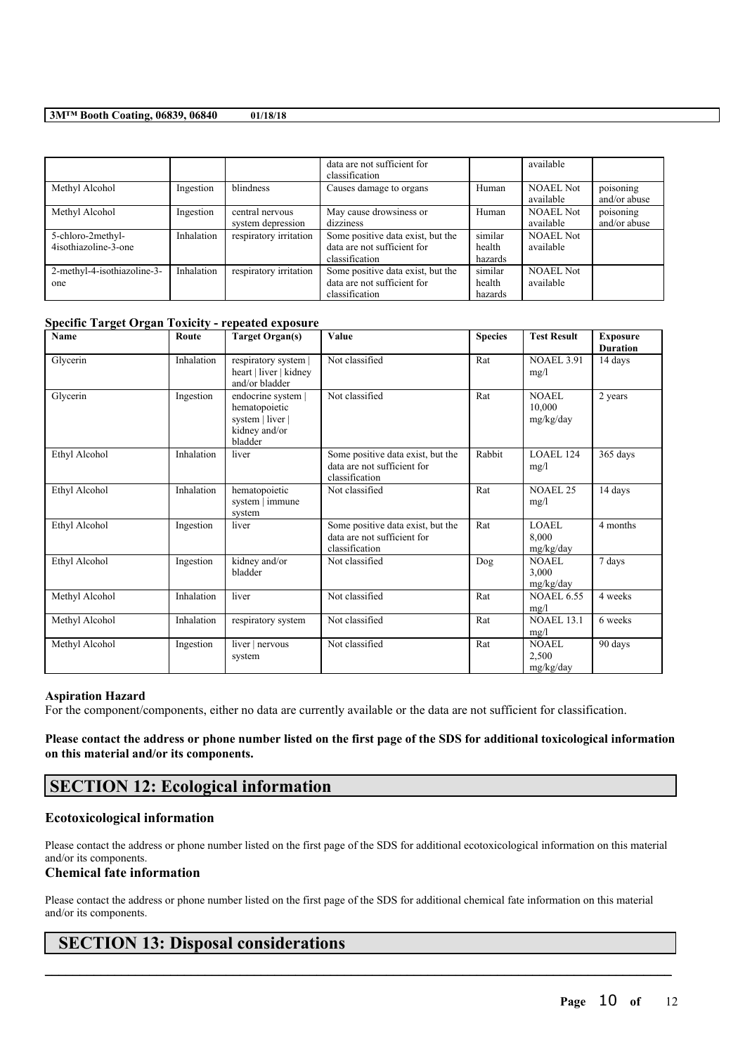|                                           |            |                                      | data are not sufficient for<br>classification                                      |                              | available                     |                           |
|-------------------------------------------|------------|--------------------------------------|------------------------------------------------------------------------------------|------------------------------|-------------------------------|---------------------------|
| Methyl Alcohol                            | Ingestion  | blindness                            | Causes damage to organs                                                            | Human                        | <b>NOAEL Not</b><br>available | poisoning<br>and/or abuse |
| Methyl Alcohol                            | Ingestion  | central nervous<br>system depression | May cause drowsiness or<br>dizziness                                               | Human                        | <b>NOAEL Not</b><br>available | poisoning<br>and/or abuse |
| 5-chloro-2methyl-<br>4isothiazoline-3-one | Inhalation | respiratory irritation               | Some positive data exist, but the<br>data are not sufficient for<br>classification | similar<br>health<br>hazards | <b>NOAEL Not</b><br>available |                           |
| 2-methyl-4-isothiazoline-3-<br>one        | Inhalation | respiratory irritation               | Some positive data exist, but the<br>data are not sufficient for<br>classification | similar<br>health<br>hazards | <b>NOAEL Not</b><br>available |                           |

## **Specific Target Organ Toxicity - repeated exposure**

| Name           | Route      | <b>Target Organ(s)</b>                                                              | Value                                                                              | <b>Species</b> | <b>Test Result</b>                 | <b>Exposure</b><br><b>Duration</b> |
|----------------|------------|-------------------------------------------------------------------------------------|------------------------------------------------------------------------------------|----------------|------------------------------------|------------------------------------|
| Glycerin       | Inhalation | respiratory system  <br>heart   liver   kidney<br>and/or bladder                    | Not classified                                                                     | Rat            | <b>NOAEL 3.91</b><br>mg/l          | 14 days                            |
| Glycerin       | Ingestion  | endocrine system  <br>hematopoietic<br>system   liver  <br>kidney and/or<br>bladder | Not classified                                                                     | Rat            | NOAEL<br>10.000<br>mg/kg/day       | 2 years                            |
| Ethyl Alcohol  | Inhalation | liver                                                                               | Some positive data exist, but the<br>data are not sufficient for<br>classification | Rabbit         | <b>LOAEL 124</b><br>mg/l           | 365 days                           |
| Ethyl Alcohol  | Inhalation | hematopoietic<br>system   immune<br>system                                          | Not classified                                                                     | Rat            | <b>NOAEL 25</b><br>mg/l            | 14 days                            |
| Ethyl Alcohol  | Ingestion  | liver                                                                               | Some positive data exist, but the<br>data are not sufficient for<br>classification | Rat            | LOAEL<br>8.000<br>mg/kg/day        | 4 months                           |
| Ethyl Alcohol  | Ingestion  | kidney and/or<br>bladder                                                            | Not classified                                                                     | Dog            | <b>NOAEL</b><br>3.000<br>mg/kg/day | 7 days                             |
| Methyl Alcohol | Inhalation | liver                                                                               | Not classified                                                                     | Rat            | <b>NOAEL 6.55</b><br>mg/l          | 4 weeks                            |
| Methyl Alcohol | Inhalation | respiratory system                                                                  | Not classified                                                                     | Rat            | <b>NOAEL 13.1</b><br>mg/l          | 6 weeks                            |
| Methyl Alcohol | Ingestion  | liver   nervous<br>system                                                           | Not classified                                                                     | Rat            | <b>NOAEL</b><br>2,500<br>mg/kg/day | 90 days                            |

#### **Aspiration Hazard**

For the component/components, either no data are currently available or the data are not sufficient for classification.

### Please contact the address or phone number listed on the first page of the SDS for additional toxicological information **on this material and/or its components.**

## **SECTION 12: Ecological information**

### **Ecotoxicological information**

Please contact the address or phone number listed on the first page of the SDS for additional ecotoxicological information on this material and/or its components.

## **Chemical fate information**

Please contact the address or phone number listed on the first page of the SDS for additional chemical fate information on this material and/or its components.

 $\mathcal{L}_\mathcal{L} = \mathcal{L}_\mathcal{L} = \mathcal{L}_\mathcal{L} = \mathcal{L}_\mathcal{L} = \mathcal{L}_\mathcal{L} = \mathcal{L}_\mathcal{L} = \mathcal{L}_\mathcal{L} = \mathcal{L}_\mathcal{L} = \mathcal{L}_\mathcal{L} = \mathcal{L}_\mathcal{L} = \mathcal{L}_\mathcal{L} = \mathcal{L}_\mathcal{L} = \mathcal{L}_\mathcal{L} = \mathcal{L}_\mathcal{L} = \mathcal{L}_\mathcal{L} = \mathcal{L}_\mathcal{L} = \mathcal{L}_\mathcal{L}$ 

## **SECTION 13: Disposal considerations**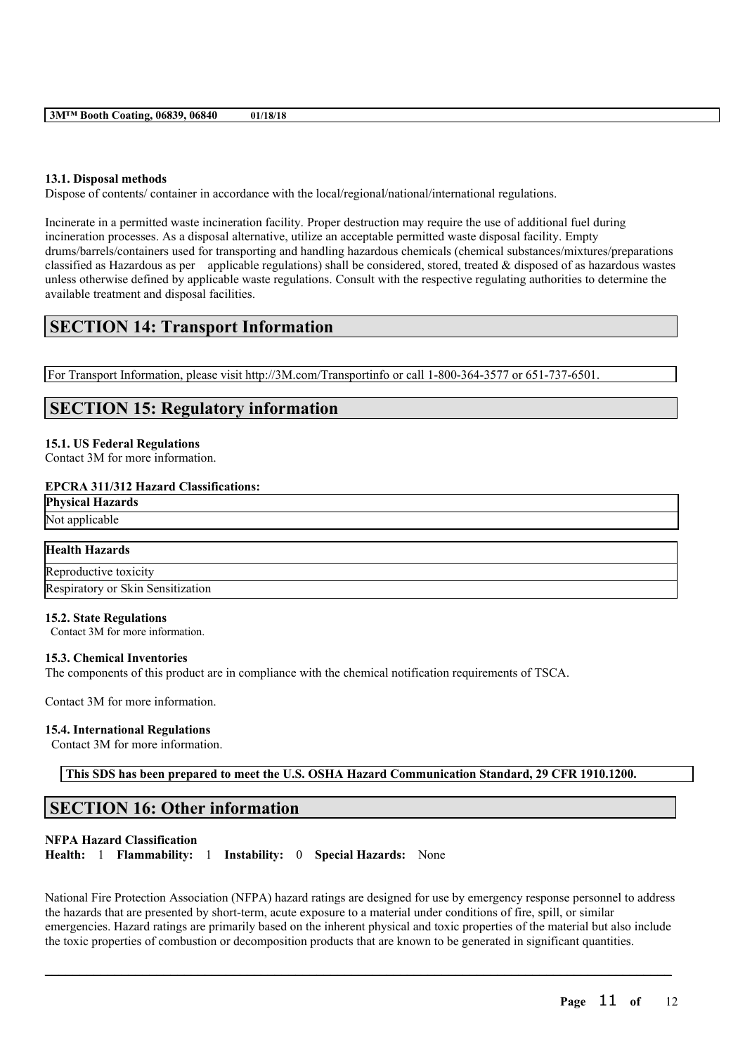## **13.1. Disposal methods**

Dispose of contents/ container in accordance with the local/regional/national/international regulations.

Incinerate in a permitted waste incineration facility. Proper destruction may require the use of additional fuel during incineration processes. As a disposal alternative, utilize an acceptable permitted waste disposal facility. Empty drums/barrels/containers used for transporting and handling hazardous chemicals (chemical substances/mixtures/preparations classified as Hazardous as per applicable regulations) shall be considered, stored, treated & disposed of as hazardous wastes unless otherwise defined by applicable waste regulations. Consult with the respective regulating authorities to determine the available treatment and disposal facilities.

## **SECTION 14: Transport Information**

For Transport Information, please visit http://3M.com/Transportinfo or call 1-800-364-3577 or 651-737-6501.

## **SECTION 15: Regulatory information**

### **15.1. US Federal Regulations**

Contact 3M for more information.

### **EPCRA 311/312 Hazard Classifications:**

**Physical Hazards** Not applicable

# **Health Hazards** Reproductive toxicity

Respiratory or Skin Sensitization

#### **15.2. State Regulations**

Contact 3M for more information.

#### **15.3. Chemical Inventories**

The components of this product are in compliance with the chemical notification requirements of TSCA.

Contact 3M for more information.

#### **15.4. International Regulations**

Contact 3M for more information.

**This SDS has been prepared to meet the U.S. OSHA Hazard Communication Standard, 29 CFR 1910.1200.**

## **SECTION 16: Other information**

## **NFPA Hazard Classification**

**Health:** 1 **Flammability:** 1 **Instability:** 0 **Special Hazards:** None

National Fire Protection Association (NFPA) hazard ratings are designed for use by emergency response personnel to address the hazards that are presented by short-term, acute exposure to a material under conditions of fire, spill, or similar emergencies. Hazard ratings are primarily based on the inherent physical and toxic properties of the material but also include the toxic properties of combustion or decomposition products that are known to be generated in significant quantities.